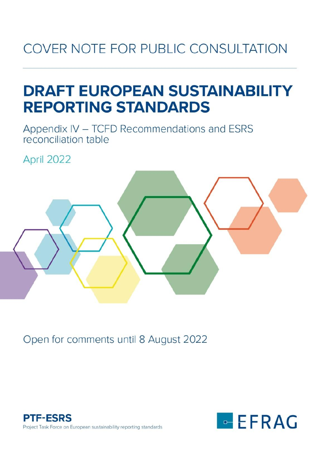## COVER NOTE FOR PUBLIC CONSULTATION

## **DRAFT EUROPEAN SUSTAINABILITY REPORTING STANDARDS**

Appendix IV - TCFD Recommendations and ESRS reconciliation table

April 2022



Open for comments until 8 August 2022



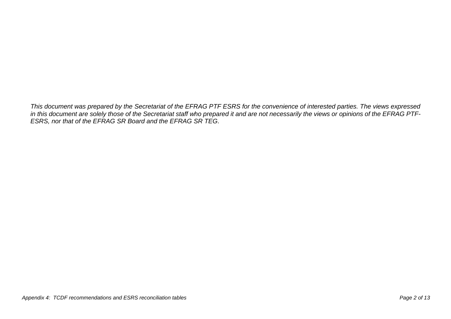*This document was prepared by the Secretariat of the EFRAG PTF ESRS for the convenience of interested parties. The views expressed in this document are solely those of the Secretariat staff who prepared it and are not necessarily the views or opinions of the EFRAG PTF-ESRS, nor that of the EFRAG SR Board and the EFRAG SR TEG.*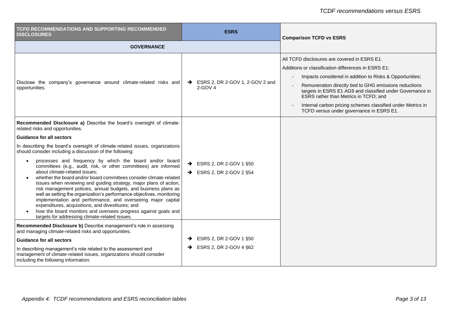| TCFD RECOMMENDATIONS AND SUPPORTING RECOMMENDED<br><b>DISCLOSURES</b>                                                                                                                                                                                                                                                                                                                                                                                                                                                                                                                                                                                                                                                                                                                                                                                                                                                                                                                    | <b>ESRS</b>                                                                  | <b>Comparison TCFD vs ESRS</b>                                                                                                                                                                                                                                                                                                                                                                                                             |
|------------------------------------------------------------------------------------------------------------------------------------------------------------------------------------------------------------------------------------------------------------------------------------------------------------------------------------------------------------------------------------------------------------------------------------------------------------------------------------------------------------------------------------------------------------------------------------------------------------------------------------------------------------------------------------------------------------------------------------------------------------------------------------------------------------------------------------------------------------------------------------------------------------------------------------------------------------------------------------------|------------------------------------------------------------------------------|--------------------------------------------------------------------------------------------------------------------------------------------------------------------------------------------------------------------------------------------------------------------------------------------------------------------------------------------------------------------------------------------------------------------------------------------|
| <b>GOVERNANCE</b>                                                                                                                                                                                                                                                                                                                                                                                                                                                                                                                                                                                                                                                                                                                                                                                                                                                                                                                                                                        |                                                                              |                                                                                                                                                                                                                                                                                                                                                                                                                                            |
| Disclose the company's governance around climate-related risks and<br>opportunities.                                                                                                                                                                                                                                                                                                                                                                                                                                                                                                                                                                                                                                                                                                                                                                                                                                                                                                     | $\rightarrow$ ESRS 2, DR 2-GOV 1, 2-GOV 2 and<br>$2-GOV 4$                   | All TCFD disclosures are covered in ESRS E1.<br>Additions or classification differences in ESRS E1:<br>Impacts considered in addition to Risks & Opportunities;<br>Remuneration directly tied to GHG emissions reductions<br>targets in ESRS E1 AG9 and classified under Governance in<br>ESRS rather than Metrics in TCFD; and<br>Internal carbon pricing schemes classified under Metrics in<br>TCFD versus under governance in ESRS E1. |
| Recommended Disclosure a) Describe the board's oversight of climate-<br>related risks and opportunities.<br><b>Guidance for all sectors</b><br>In describing the board's oversight of climate-related issues, organizations<br>should consider including a discussion of the following:<br>processes and frequency by which the board and/or board<br>committees (e.g., audit, risk, or other committees) are informed<br>about climate-related issues;<br>whether the board and/or board committees consider climate-related<br>issues when reviewing and guiding strategy, major plans of action,<br>risk management policies, annual budgets, and business plans as<br>well as setting the organization's performance objectives, monitoring<br>implementation and performance, and overseeing major capital<br>expenditures, acquisitions, and divestitures; and<br>how the board monitors and oversees progress against goals and<br>targets for addressing climate-related issues. | $\rightarrow$ ESRS 2, DR 2-GOV 1 §50<br>$\rightarrow$ ESRS 2, DR 2-GOV 2 §54 |                                                                                                                                                                                                                                                                                                                                                                                                                                            |
| Recommended Disclosure b) Describe management's role in assessing<br>and managing climate-related risks and opportunities.<br><b>Guidance for all sectors</b><br>In describing management's role related to the assessment and<br>management of climate-related issues, organizations should consider<br>including the following information:                                                                                                                                                                                                                                                                                                                                                                                                                                                                                                                                                                                                                                            | $\rightarrow$ ESRS 2, DR 2-GOV 1 §50<br>$\rightarrow$ ESRS 2, DR 2-GOV 4 §62 |                                                                                                                                                                                                                                                                                                                                                                                                                                            |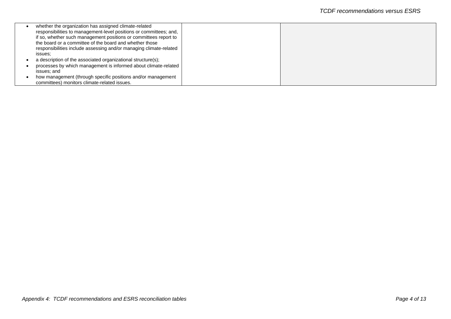| whether the organization has assigned climate-related              |  |
|--------------------------------------------------------------------|--|
| responsibilities to management-level positions or committees; and, |  |
| if so, whether such management positions or committees report to   |  |
| the board or a committee of the board and whether those            |  |
| responsibilities include assessing and/or managing climate-related |  |
| issues:                                                            |  |
| a description of the associated organizational structure(s);       |  |
| processes by which management is informed about climate-related    |  |
| issues; and                                                        |  |
| how management (through specific positions and/or management       |  |
| committees) monitors climate-related issues.                       |  |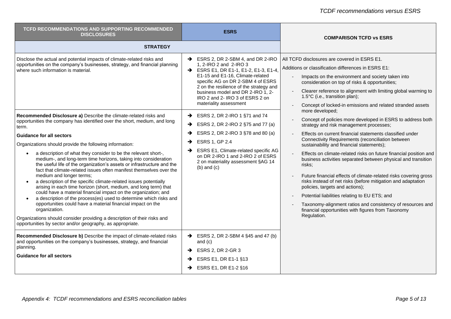| <b>TCFD RECOMMENDATIONS AND SUPPORTING RECOMMENDED</b><br><b>DISCLOSURES</b>                                                                                                                                                                                                                                                                                                                                                                                                                                                                                                                                                                                                                                                                                                                                                                                                                                           | <b>ESRS</b>                                                                                                                                                                                                                                                                                                                                                                            | <b>COMPARISON TCFD vs ESRS</b>                                                                                                                                                                                                                                                                                                                                                                                                                                                                                                                                                                                                                                        |
|------------------------------------------------------------------------------------------------------------------------------------------------------------------------------------------------------------------------------------------------------------------------------------------------------------------------------------------------------------------------------------------------------------------------------------------------------------------------------------------------------------------------------------------------------------------------------------------------------------------------------------------------------------------------------------------------------------------------------------------------------------------------------------------------------------------------------------------------------------------------------------------------------------------------|----------------------------------------------------------------------------------------------------------------------------------------------------------------------------------------------------------------------------------------------------------------------------------------------------------------------------------------------------------------------------------------|-----------------------------------------------------------------------------------------------------------------------------------------------------------------------------------------------------------------------------------------------------------------------------------------------------------------------------------------------------------------------------------------------------------------------------------------------------------------------------------------------------------------------------------------------------------------------------------------------------------------------------------------------------------------------|
| <b>STRATEGY</b>                                                                                                                                                                                                                                                                                                                                                                                                                                                                                                                                                                                                                                                                                                                                                                                                                                                                                                        |                                                                                                                                                                                                                                                                                                                                                                                        |                                                                                                                                                                                                                                                                                                                                                                                                                                                                                                                                                                                                                                                                       |
| Disclose the actual and potential impacts of climate-related risks and<br>opportunities on the company's businesses, strategy, and financial planning<br>where such information is material.<br>Recommended Disclosure a) Describe the climate-related risks and                                                                                                                                                                                                                                                                                                                                                                                                                                                                                                                                                                                                                                                       | $\rightarrow$ ESRS 2, DR 2-SBM 4, and DR 2-IRO<br>1, 2-IRO 2 and 2-IRO 3<br>→ ESRS E1, DR E1-1, E1-2, E1-3, E1-4,<br>E1-15 and E1-16, Climate-related<br>specific AG on DR 2-SBM 4 of ESRS<br>2 on the resilience of the strategy and<br>business model and DR 2-IRO 1, 2-<br>IRO 2 and 2- IRO 3 of ESRS 2 on<br>materiality assessment<br>$\rightarrow$ ESRS 2, DR 2-IRO 1 §71 and 74 | All TCFD disclosures are covered in ESRS E1.<br>Additions or classification differences in ESRS E1:<br>Impacts on the environment and society taken into<br>$\sim$<br>consideration on top of risks & opportunities;<br>Clearer reference to alignment with limiting global warming to<br>1.5°C (i.e., transition plan);<br>Concept of locked-in emissions and related stranded assets<br>more developed;                                                                                                                                                                                                                                                             |
| opportunities the company has identified over the short, medium, and long<br>term.                                                                                                                                                                                                                                                                                                                                                                                                                                                                                                                                                                                                                                                                                                                                                                                                                                     | $\rightarrow$ ESRS 2, DR 2-IRO 2 §75 and 77 (a)                                                                                                                                                                                                                                                                                                                                        | Concept of policies more developed in ESRS to address both<br>strategy and risk management processes;                                                                                                                                                                                                                                                                                                                                                                                                                                                                                                                                                                 |
| <b>Guidance for all sectors</b><br>Organizations should provide the following information:<br>a description of what they consider to be the relevant short-,<br>medium-, and long-term time horizons, taking into consideration<br>the useful life of the organization's assets or infrastructure and the<br>fact that climate-related issues often manifest themselves over the<br>medium and longer terms;<br>a description of the specific climate-related issues potentially<br>arising in each time horizon (short, medium, and long term) that<br>could have a material financial impact on the organization; and<br>a description of the process(es) used to determine which risks and<br>opportunities could have a material financial impact on the<br>organization.<br>Organizations should consider providing a description of their risks and<br>opportunities by sector and/or geography, as appropriate. | $\rightarrow$ ESRS 2, DR 2-IRO 3 §78 and 80 (a)<br>ESRS 1, GP 2.4<br>ESRS E1, Climate-related specific AG<br>$\rightarrow$<br>on DR 2-IRO 1 and 2-IRO 2 of ESRS<br>2 on materiality assessment §AG 14<br>$(b)$ and $(c)$                                                                                                                                                               | Effects on current financial statements classified under<br>Connectivity Requirements (reconciliation between<br>sustainability and financial statements);<br>Effects on climate-related risks on future financial position and<br>business activities separated between physical and transition<br>risks;<br>Future financial effects of climate-related risks covering gross<br>risks instead of net risks (before mitigation and adaptation<br>policies, targets and actions);<br>Potential liabilities relating to EU ETS; and<br>Taxonomy-alignment ratios and consistency of resources and<br>financial opportunities with figures from Taxonomy<br>Regulation. |
| Recommended Disclosure b) Describe the impact of climate-related risks<br>and opportunities on the company's businesses, strategy, and financial<br>planning.<br><b>Guidance for all sectors</b>                                                                                                                                                                                                                                                                                                                                                                                                                                                                                                                                                                                                                                                                                                                       | $\rightarrow$ ESRS 2, DR 2-SBM 4 §45 and 47 (b)<br>and $(c)$<br>$\rightarrow$ ESRS 2, DR 2-GR 3<br>$\rightarrow$ ESRS E1, DR E1-1 §13<br>$\rightarrow$ ESRS E1, DR E1-2 §16                                                                                                                                                                                                            |                                                                                                                                                                                                                                                                                                                                                                                                                                                                                                                                                                                                                                                                       |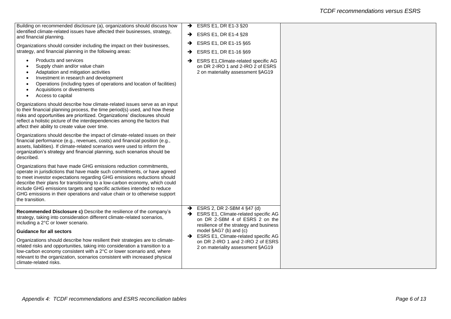| $\rightarrow$ ESRS E1, DR E1-15 §65                                                                                             |                                                                                                                                                               |
|---------------------------------------------------------------------------------------------------------------------------------|---------------------------------------------------------------------------------------------------------------------------------------------------------------|
| ESRS E1, Climate-related specific AG<br>$\rightarrow$<br>on DR 2-IRO 1 and 2-IRO 2 of ESRS<br>2 on materiality assessment §AG19 |                                                                                                                                                               |
|                                                                                                                                 |                                                                                                                                                               |
|                                                                                                                                 |                                                                                                                                                               |
|                                                                                                                                 |                                                                                                                                                               |
| $\rightarrow$ ESRS 2, DR 2-SBM 4 §47 (d)<br>SRS E1, Climate-related specific AG<br>on DR 2-SBM 4 of ESRS 2 on the               |                                                                                                                                                               |
| model §AG7 (b) and (c)                                                                                                          |                                                                                                                                                               |
| ESRS E1, Climate-related specific AG<br>$\rightarrow$<br>on DR 2-IRO 1 and 2-IRO 2 of ESRS<br>2 on materiality assessment §AG19 |                                                                                                                                                               |
|                                                                                                                                 | $\rightarrow$ ESRS E1, DR E1-3 §20<br>$\rightarrow$ ESRS E1, DR E1-4 §28<br>ESRS E1, DR E1-16 §69<br>$\rightarrow$<br>resilience of the strategy and business |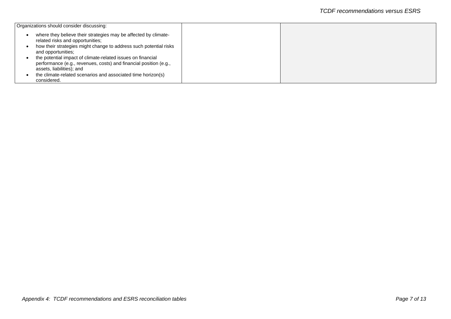| Organizations should consider discussing:                                                                                                                     |  |
|---------------------------------------------------------------------------------------------------------------------------------------------------------------|--|
| where they believe their strategies may be affected by climate-<br>related risks and opportunities;                                                           |  |
| how their strategies might change to address such potential risks<br>and opportunities;                                                                       |  |
| the potential impact of climate-related issues on financial<br>performance (e.g., revenues, costs) and financial position (e.g.,<br>assets, liabilities); and |  |
| the climate-related scenarios and associated time horizon(s)<br>considered.                                                                                   |  |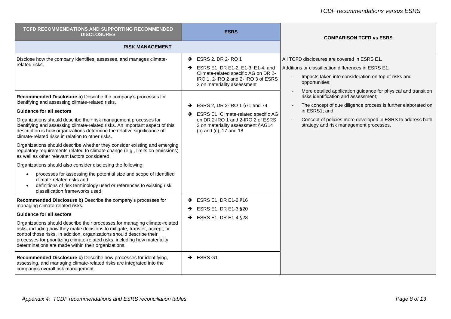| <b>TCFD RECOMMENDATIONS AND SUPPORTING RECOMMENDED</b><br><b>DISCLOSURES</b>                                                                                                                                                                                                                                                                                                                                                                                                                                                                                                                                                                                                                                                                                                                                                                                                                                                                                                                                                                                                                                                                                                                                                                          | <b>ESRS</b>                                                                                                                                                                                                                                                                                                                                                                                                                                                                                                      | <b>COMPARISON TCFD vs ESRS</b>                                                                                                                                                                                                                                                                                                                                                                                                                                                     |
|-------------------------------------------------------------------------------------------------------------------------------------------------------------------------------------------------------------------------------------------------------------------------------------------------------------------------------------------------------------------------------------------------------------------------------------------------------------------------------------------------------------------------------------------------------------------------------------------------------------------------------------------------------------------------------------------------------------------------------------------------------------------------------------------------------------------------------------------------------------------------------------------------------------------------------------------------------------------------------------------------------------------------------------------------------------------------------------------------------------------------------------------------------------------------------------------------------------------------------------------------------|------------------------------------------------------------------------------------------------------------------------------------------------------------------------------------------------------------------------------------------------------------------------------------------------------------------------------------------------------------------------------------------------------------------------------------------------------------------------------------------------------------------|------------------------------------------------------------------------------------------------------------------------------------------------------------------------------------------------------------------------------------------------------------------------------------------------------------------------------------------------------------------------------------------------------------------------------------------------------------------------------------|
| <b>RISK MANAGEMENT</b>                                                                                                                                                                                                                                                                                                                                                                                                                                                                                                                                                                                                                                                                                                                                                                                                                                                                                                                                                                                                                                                                                                                                                                                                                                |                                                                                                                                                                                                                                                                                                                                                                                                                                                                                                                  |                                                                                                                                                                                                                                                                                                                                                                                                                                                                                    |
| Disclose how the company identifies, assesses, and manages climate-<br>related risks.<br>Recommended Disclosure a) Describe the company's processes for<br>identifying and assessing climate-related risks.<br><b>Guidance for all sectors</b><br>Organizations should describe their risk management processes for<br>identifying and assessing climate-related risks. An important aspect of this<br>description is how organizations determine the relative significance of<br>climate-related risks in relation to other risks.<br>Organizations should describe whether they consider existing and emerging<br>regulatory requirements related to climate change (e.g., limits on emissions)<br>as well as other relevant factors considered.<br>Organizations should also consider disclosing the following:<br>processes for assessing the potential size and scope of identified<br>climate-related risks and<br>definitions of risk terminology used or references to existing risk<br>classification frameworks used.<br>Recommended Disclosure b) Describe the company's processes for<br>managing climate-related risks.<br><b>Guidance for all sectors</b><br>Organizations should describe their processes for managing climate-related | $\rightarrow$ ESRS 2, DR 2-IRO 1<br>$\rightarrow$ ESRS E1, DR E1-2, E1-3, E1-4, and<br>Climate-related specific AG on DR 2-<br>IRO 1, 2-IRO 2 and 2- IRO 3 of ESRS<br>2 on materiality assessment<br>$\rightarrow$ ESRS 2, DR 2-IRO 1 §71 and 74<br>SRS E1, Climate-related specific AG<br>on DR 2-IRO 1 and 2-IRO 2 of ESRS<br>2 on materiality assessment §AG14<br>(b) and (c), 17 and 18<br>$\rightarrow$ ESRS E1, DR E1-2 §16<br>ESRS E1, DR E1-3 §20<br>$\rightarrow$<br>$\rightarrow$ ESRS E1, DR E1-4 §28 | All TCFD disclosures are covered in ESRS E1.<br>Additions or classification differences in ESRS E1:<br>Impacts taken into consideration on top of risks and<br>opportunities;<br>More detailed application guidance for physical and transition<br>risks identification and assessment;<br>The concept of due diligence process is further elaborated on<br>in ESRS1; and<br>Concept of policies more developed in ESRS to address both<br>strategy and risk management processes. |
| risks, including how they make decisions to mitigate, transfer, accept, or<br>control those risks. In addition, organizations should describe their<br>processes for prioritizing climate-related risks, including how materiality<br>determinations are made within their organizations.                                                                                                                                                                                                                                                                                                                                                                                                                                                                                                                                                                                                                                                                                                                                                                                                                                                                                                                                                             |                                                                                                                                                                                                                                                                                                                                                                                                                                                                                                                  |                                                                                                                                                                                                                                                                                                                                                                                                                                                                                    |
| Recommended Disclosure c) Describe how processes for identifying,<br>assessing, and managing climate-related risks are integrated into the<br>company's overall risk management.                                                                                                                                                                                                                                                                                                                                                                                                                                                                                                                                                                                                                                                                                                                                                                                                                                                                                                                                                                                                                                                                      | $\rightarrow$ ESRS G1                                                                                                                                                                                                                                                                                                                                                                                                                                                                                            |                                                                                                                                                                                                                                                                                                                                                                                                                                                                                    |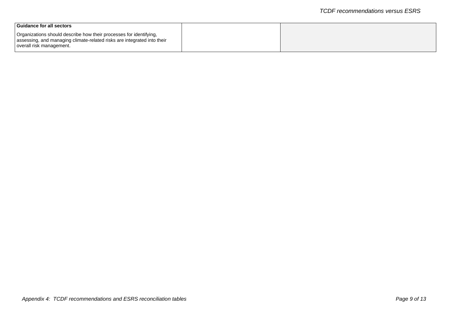| l Guidance for all sectors                                                                                                                                                |  |
|---------------------------------------------------------------------------------------------------------------------------------------------------------------------------|--|
| Organizations should describe how their processes for identifying,<br>assessing, and managing climate-related risks are integrated into their<br>overall risk management. |  |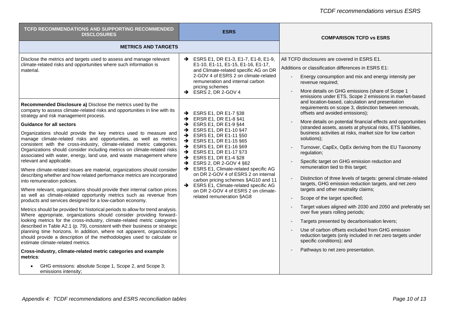| <b>METRICS AND TARGETS</b>                                                                                                                                                                                                                                                                                                                                                                                                                                                                                                                                                                                                                                                                                                                                                                                                                                                                                                                                                                                                                                                                                                 |                                                                                                                                                                                                                                                                                                                                                                                                                                                                                                                                                                                                                                                                                                                                                                                                                                                                                                        |                                                                                                                                                                                                                                                                                                                                                                                                                                                                                                                                                                                                                                                                                                                                                                                                                                                                                                                                                                                                                             |
|----------------------------------------------------------------------------------------------------------------------------------------------------------------------------------------------------------------------------------------------------------------------------------------------------------------------------------------------------------------------------------------------------------------------------------------------------------------------------------------------------------------------------------------------------------------------------------------------------------------------------------------------------------------------------------------------------------------------------------------------------------------------------------------------------------------------------------------------------------------------------------------------------------------------------------------------------------------------------------------------------------------------------------------------------------------------------------------------------------------------------|--------------------------------------------------------------------------------------------------------------------------------------------------------------------------------------------------------------------------------------------------------------------------------------------------------------------------------------------------------------------------------------------------------------------------------------------------------------------------------------------------------------------------------------------------------------------------------------------------------------------------------------------------------------------------------------------------------------------------------------------------------------------------------------------------------------------------------------------------------------------------------------------------------|-----------------------------------------------------------------------------------------------------------------------------------------------------------------------------------------------------------------------------------------------------------------------------------------------------------------------------------------------------------------------------------------------------------------------------------------------------------------------------------------------------------------------------------------------------------------------------------------------------------------------------------------------------------------------------------------------------------------------------------------------------------------------------------------------------------------------------------------------------------------------------------------------------------------------------------------------------------------------------------------------------------------------------|
|                                                                                                                                                                                                                                                                                                                                                                                                                                                                                                                                                                                                                                                                                                                                                                                                                                                                                                                                                                                                                                                                                                                            |                                                                                                                                                                                                                                                                                                                                                                                                                                                                                                                                                                                                                                                                                                                                                                                                                                                                                                        |                                                                                                                                                                                                                                                                                                                                                                                                                                                                                                                                                                                                                                                                                                                                                                                                                                                                                                                                                                                                                             |
| Disclose the metrics and targets used to assess and manage relevant<br>climate-related risks and opportunities where such information is<br>material.<br>Recommended Disclosure a) Disclose the metrics used by the<br>company to assess climate-related risks and opportunities in line with its<br>strategy and risk management process.<br><b>Guidance for all sectors</b><br>Organizations should provide the key metrics used to measure and<br>manage climate-related risks and opportunities, as well as metrics<br>consistent with the cross-industry, climate-related metric categories.<br>Organizations should consider including metrics on climate-related risks<br>associated with water, energy, land use, and waste management where<br>relevant and applicable.<br>Where climate-related issues are material, organizations should consider<br>describing whether and how related performance metrics are incorporated<br>into remuneration policies.<br>Where relevant, organizations should provide their internal carbon prices<br>as well as climate-related opportunity metrics such as revenue from | → ESRS E1, DR E1-3, E1-7, E1-8, E1-9,<br>E1-10, E1-11, E1-15, E1-16, E1-17,<br>and Climate-related specific AG on DR<br>2-GOV 4 of ESRS 2 on climate-related<br>remuneration and internal carbon<br>pricing schemes<br>$\rightarrow$ ESRS 2, DR 2-GOV 4<br>ESRS E1, DR E1-7 §38<br>$\rightarrow$<br>$\rightarrow$ ERSR E1, DR E1-8 §41<br>$\rightarrow$ ESRS E1, DR E1-9 §44<br>$\rightarrow$ ESRS E1, DR E1-10 §47<br>$\rightarrow$ ESRS E1, DR E1-11 §50<br>ESRS E1, DR E1-15 §65<br>$\rightarrow$<br>$\rightarrow$ ESRS E1, DR E1-16 §69<br>$\rightarrow$ ESRS E1, DR E1-17 §73<br>$\rightarrow$<br>ESRS E1, DR E1-4 §28<br>ESRS 2, DR 2-GOV 4 §62<br>$\rightarrow$<br>SRS E1, Climate-related specific AG<br>on DR 2-GOV 4 of ESRS 2 on internal<br>carbon pricing schemes §AG10 and 11<br>SRS E1, Climate-related specific AG<br>on DR 2-GOV 4 of ESRS 2 on climate-<br>related remuneration §AG8 | All TCFD disclosures are covered in ESRS E1.<br>Additions or classification differences in ESRS E1:<br>Energy consumption and mix and energy intensity per<br>revenue required;<br>More details on GHG emissions (share of Scope 1<br>emissions under ETS, Scope 2 emissions in market-based<br>and location-based, calculation and presentation<br>requirements on scope 3, distinction between removals,<br>offsets and avoided emissions);<br>More details on potential financial effects and opportunities<br>(stranded assets, assets at physical risks, ETS liabilities,<br>business activities at risks, market size for low carbon<br>solutions);<br>Turnover, CapEx, OpEx deriving from the EU Taxonomy<br>regulation;<br>Specific target on GHG emission reduction and<br>remuneration tied to this target;<br>Distinction of three levels of targets: general climate-related<br>targets, GHG emission reduction targets, and net zero<br>targets and other neutrality claims;<br>Scope of the target specified; |
| products and services designed for a low-carbon economy.<br>Metrics should be provided for historical periods to allow for trend analysis.<br>Where appropriate, organizations should consider providing forward-<br>looking metrics for the cross-industry, climate-related metric categories<br>described in Table A2.1 (p. 79), consistent with their business or strategic<br>planning time horizons. In addition, where not apparent, organizations<br>should provide a description of the methodologies used to calculate or<br>estimate climate-related metrics.<br>Cross-industry, climate-related metric categories and example<br>metrics:<br>GHG emissions: absolute Scope 1, Scope 2, and Scope 3;                                                                                                                                                                                                                                                                                                                                                                                                             |                                                                                                                                                                                                                                                                                                                                                                                                                                                                                                                                                                                                                                                                                                                                                                                                                                                                                                        | Target values aligned with 2030 and 2050 and preferably set<br>over five years rolling periods;<br>Targets presented by decarbonisation levers;<br>Use of carbon offsets excluded from GHG emission<br>reduction targets (only included in net zero targets under<br>specific conditions); and<br>Pathways to net zero presentation.                                                                                                                                                                                                                                                                                                                                                                                                                                                                                                                                                                                                                                                                                        |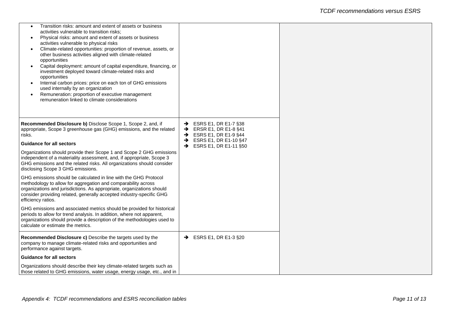| Transition risks: amount and extent of assets or business<br>activities vulnerable to transition risks;<br>Physical risks: amount and extent of assets or business<br>activities vulnerable to physical risks<br>Climate-related opportunities: proportion of revenue, assets, or<br>other business activities aligned with climate-related<br>opportunities<br>Capital deployment: amount of capital expenditure, financing, or<br>investment deployed toward climate-related risks and<br>opportunities<br>Internal carbon prices: price on each ton of GHG emissions<br>used internally by an organization<br>Remuneration: proportion of executive management<br>$\bullet$<br>remuneration linked to climate considerations |                                                                                                                                                                                              |
|---------------------------------------------------------------------------------------------------------------------------------------------------------------------------------------------------------------------------------------------------------------------------------------------------------------------------------------------------------------------------------------------------------------------------------------------------------------------------------------------------------------------------------------------------------------------------------------------------------------------------------------------------------------------------------------------------------------------------------|----------------------------------------------------------------------------------------------------------------------------------------------------------------------------------------------|
| Recommended Disclosure b) Disclose Scope 1, Scope 2, and, if<br>appropriate, Scope 3 greenhouse gas (GHG) emissions, and the related<br>risks.<br><b>Guidance for all sectors</b>                                                                                                                                                                                                                                                                                                                                                                                                                                                                                                                                               | $\rightarrow$ ESRS E1, DR E1-7 §38<br>$\rightarrow$ ERSR E1, DR E1-8 §41<br>$\rightarrow$ ESRS E1, DR E1-9 §44<br>$\rightarrow$ ESRS E1, DR E1-10 §47<br>$\rightarrow$ ESRS E1, DR E1-11 §50 |
| Organizations should provide their Scope 1 and Scope 2 GHG emissions<br>independent of a materiality assessment, and, if appropriate, Scope 3<br>GHG emissions and the related risks. All organizations should consider<br>disclosing Scope 3 GHG emissions.                                                                                                                                                                                                                                                                                                                                                                                                                                                                    |                                                                                                                                                                                              |
| GHG emissions should be calculated in line with the GHG Protocol<br>methodology to allow for aggregation and comparability across<br>organizations and jurisdictions. As appropriate, organizations should<br>consider providing related, generally accepted industry-specific GHG<br>efficiency ratios.                                                                                                                                                                                                                                                                                                                                                                                                                        |                                                                                                                                                                                              |
| GHG emissions and associated metrics should be provided for historical<br>periods to allow for trend analysis. In addition, where not apparent,<br>organizations should provide a description of the methodologies used to<br>calculate or estimate the metrics.                                                                                                                                                                                                                                                                                                                                                                                                                                                                |                                                                                                                                                                                              |
| <b>Recommended Disclosure c)</b> Describe the targets used by the<br>company to manage climate-related risks and opportunities and<br>performance against targets.                                                                                                                                                                                                                                                                                                                                                                                                                                                                                                                                                              | $\rightarrow$ ESRS E1, DR E1-3 §20                                                                                                                                                           |
| <b>Guidance for all sectors</b>                                                                                                                                                                                                                                                                                                                                                                                                                                                                                                                                                                                                                                                                                                 |                                                                                                                                                                                              |
| Organizations should describe their key climate-related targets such as<br>those related to GHG emissions, water usage, energy usage, etc., and in                                                                                                                                                                                                                                                                                                                                                                                                                                                                                                                                                                              |                                                                                                                                                                                              |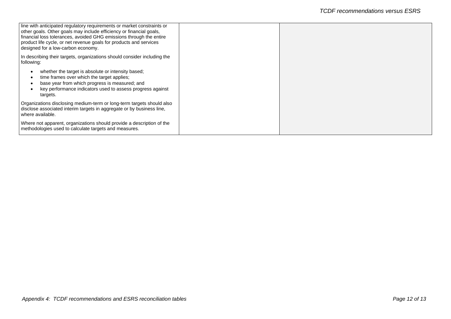| line with anticipated regulatory requirements or market constraints or<br>other goals. Other goals may include efficiency or financial goals,<br>financial loss tolerances, avoided GHG emissions through the entire<br>product life cycle, or net revenue goals for products and services<br>designed for a low-carbon economy. |  |
|----------------------------------------------------------------------------------------------------------------------------------------------------------------------------------------------------------------------------------------------------------------------------------------------------------------------------------|--|
| In describing their targets, organizations should consider including the<br>following:                                                                                                                                                                                                                                           |  |
| whether the target is absolute or intensity based;<br>time frames over which the target applies;<br>base year from which progress is measured; and<br>key performance indicators used to assess progress against<br>targets.                                                                                                     |  |
| Organizations disclosing medium-term or long-term targets should also<br>disclose associated interim targets in aggregate or by business line,<br>where available.                                                                                                                                                               |  |
| Where not apparent, organizations should provide a description of the<br>methodologies used to calculate targets and measures.                                                                                                                                                                                                   |  |